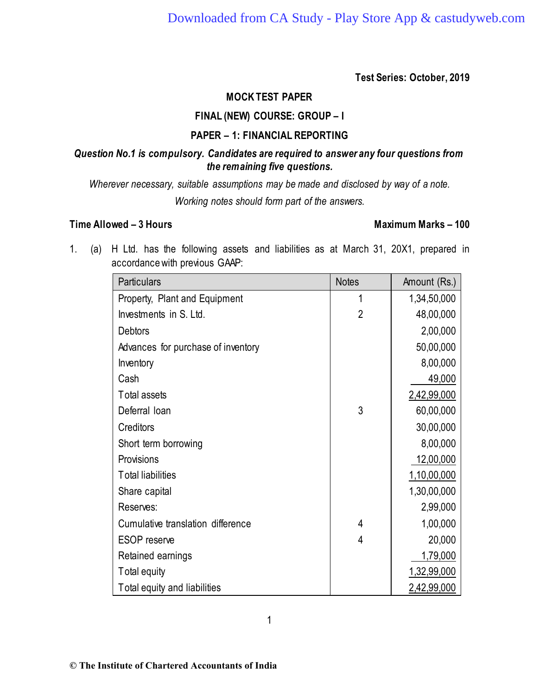# **Test Series: October, 2019**

# **MOCK TEST PAPER**

### **FINAL (NEW) COURSE: GROUP – I**

#### **PAPER – 1: FINANCIAL REPORTING**

### *Question No.1 is compulsory. Candidates are required to answer any four questions from the remaining five questions.*

*Wherever necessary, suitable assumptions may be made and disclosed by way of a note. Working notes should form part of the answers.*

#### **Time Allowed – 3 Hours Maximum Marks – 100**

1. (a) H Ltd. has the following assets and liabilities as at March 31, 20X1, prepared in accordance with previous GAAP:

| Particulars                        | <b>Notes</b> | Amount (Rs.) |
|------------------------------------|--------------|--------------|
| Property, Plant and Equipment      | 1            | 1,34,50,000  |
| Investments in S. Ltd.             | 2            | 48,00,000    |
| <b>Debtors</b>                     |              | 2,00,000     |
| Advances for purchase of inventory |              | 50,00,000    |
| Inventory                          |              | 8,00,000     |
| Cash                               |              | 49,000       |
| Total assets                       |              | 2,42,99,000  |
| Deferral loan                      | 3            | 60,00,000    |
| Creditors                          |              | 30,00,000    |
| Short term borrowing               |              | 8,00,000     |
| Provisions                         |              | 12,00,000    |
| <b>Total liabilities</b>           |              | 1,10,00,000  |
| Share capital                      |              | 1,30,00,000  |
| Reserves:                          |              | 2,99,000     |
| Cumulative translation difference  | 4            | 1,00,000     |
| <b>ESOP</b> reserve                | 4            | 20,000       |
| Retained earnings                  |              | 1,79,000     |
| Total equity                       |              | 1,32,99,000  |
| Total equity and liabilities       |              | 2,42,99,000  |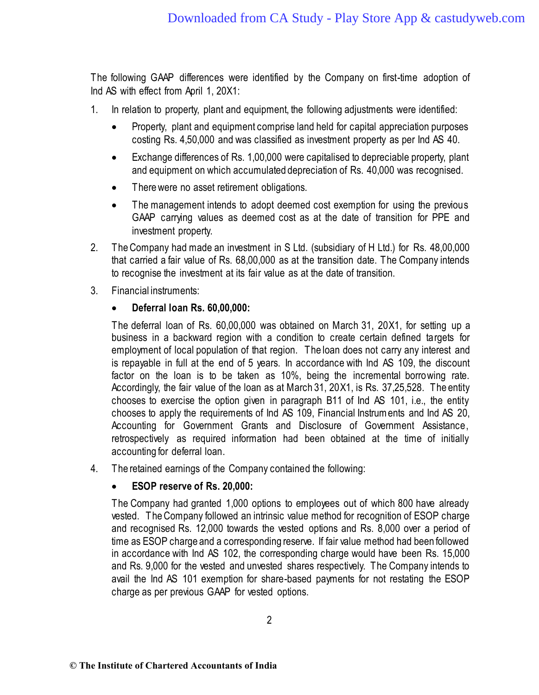The following GAAP differences were identified by the Company on first-time adoption of Ind AS with effect from April 1, 20X1:

- 1. In relation to property, plant and equipment, the following adjustments were identified:
	- Property, plant and equipment comprise land held for capital appreciation purposes costing Rs. 4,50,000 and was classified as investment property as per Ind AS 40.
	- Exchange differences of Rs. 1,00,000 were capitalised to depreciable property, plant and equipment on which accumulated depreciation of Rs. 40,000 was recognised.
	- There were no asset retirement obligations.
	- The management intends to adopt deemed cost exemption for using the previous GAAP carrying values as deemed cost as at the date of transition for PPE and investment property.
- 2. The Company had made an investment in S Ltd. (subsidiary of H Ltd.) for Rs. 48,00,000 that carried a fair value of Rs. 68,00,000 as at the transition date. The Company intends to recognise the investment at its fair value as at the date of transition.
- 3. Financial instruments:

# • **Deferral loan Rs. 60,00,000:**

The deferral loan of Rs. 60,00,000 was obtained on March 31, 20X1, for setting up a business in a backward region with a condition to create certain defined targets for employment of local population of that region. The loan does not carry any interest and is repayable in full at the end of 5 years. In accordance with Ind AS 109, the discount factor on the loan is to be taken as 10%, being the incremental borrowing rate. Accordingly, the fair value of the loan as at March 31, 20X1, is Rs. 37,25,528. The entity chooses to exercise the option given in paragraph B11 of Ind AS 101, i.e., the entity chooses to apply the requirements of Ind AS 109, Financial Instruments and Ind AS 20, Accounting for Government Grants and Disclosure of Government Assistance, retrospectively as required information had been obtained at the time of initially accounting for deferral loan.

4. The retained earnings of the Company contained the following:

#### • **ESOP reserve of Rs. 20,000:**

The Company had granted 1,000 options to employees out of which 800 have already vested. The Company followed an intrinsic value method for recognition of ESOP charge and recognised Rs. 12,000 towards the vested options and Rs. 8,000 over a period of time as ESOP charge and a corresponding reserve. If fair value method had been followed in accordance with Ind AS 102, the corresponding charge would have been Rs. 15,000 and Rs. 9,000 for the vested and unvested shares respectively. The Company intends to avail the Ind AS 101 exemption for share-based payments for not restating the ESOP charge as per previous GAAP for vested options.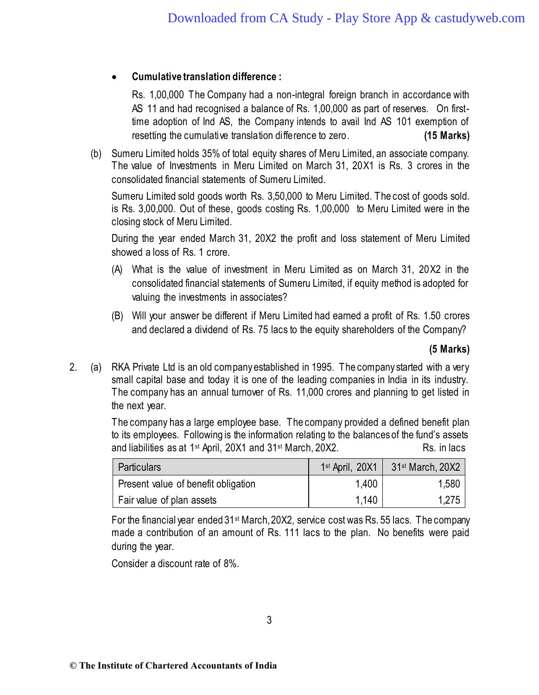# • **Cumulative translation difference :**

Rs. 1,00,000 The Company had a non-integral foreign branch in accordance with AS 11 and had recognised a balance of Rs. 1,00,000 as part of reserves. On firsttime adoption of Ind AS, the Company intends to avail Ind AS 101 exemption of resetting the cumulative translation difference to zero. **(15 Marks)**

(b) Sumeru Limited holds 35% of total equity shares of Meru Limited, an associate company. The value of Investments in Meru Limited on March 31, 20X1 is Rs. 3 crores in the consolidated financial statements of Sumeru Limited.

Sumeru Limited sold goods worth Rs. 3,50,000 to Meru Limited. The cost of goods sold. is Rs. 3,00,000. Out of these, goods costing Rs. 1,00,000 to Meru Limited were in the closing stock of Meru Limited.

During the year ended March 31, 20X2 the profit and loss statement of Meru Limited showed a loss of Rs. 1 crore.

- (A) What is the value of investment in Meru Limited as on March 31, 20X2 in the consolidated financial statements of Sumeru Limited, if equity method is adopted for valuing the investments in associates?
- (B) Will your answer be different if Meru Limited had earned a profit of Rs. 1.50 crores and declared a dividend of Rs. 75 lacs to the equity shareholders of the Company?

**(5 Marks)**

2. (a) RKA Private Ltd is an old company established in 1995. The company started with a very small capital base and today it is one of the leading companies in India in its industry. The company has an annual turnover of Rs. 11,000 crores and planning to get listed in the next year.

> The company has a large employee base. The company provided a defined benefit plan to its employees. Following is the information relating to the balances of the fund's assets and liabilities as at  $1<sup>st</sup>$  April, 20X1 and  $31<sup>st</sup>$  March, 20X2. Rs. in lacs

| <b>Particulars</b>                  | $1st$ April, 20X1 | 31 <sup>st</sup> March, 20X2 |
|-------------------------------------|-------------------|------------------------------|
| Present value of benefit obligation | 1,400             | 1,580                        |
| Fair value of plan assets           | 1,140             | 1,275                        |

For the financial year ended 31st March, 20X2, service cost was Rs. 55 lacs. The company made a contribution of an amount of Rs. 111 lacs to the plan. No benefits were paid during the year.

Consider a discount rate of 8%.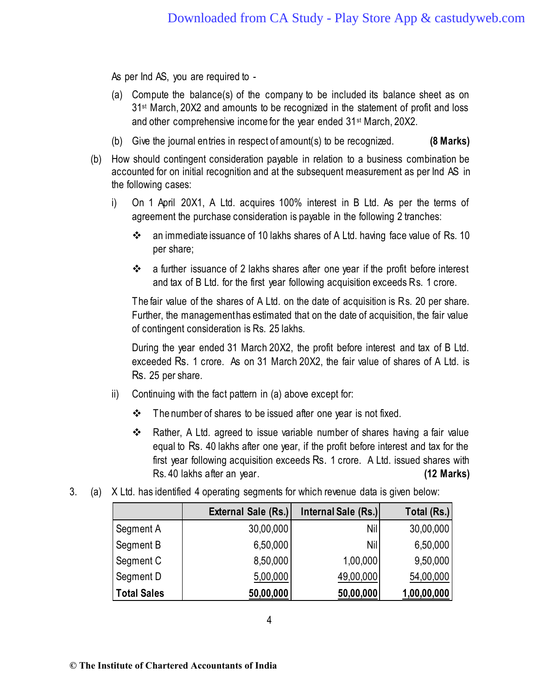As per Ind AS, you are required to -

- (a) Compute the balance(s) of the company to be included its balance sheet as on 31<sup>st</sup> March, 20X2 and amounts to be recognized in the statement of profit and loss and other comprehensive income for the year ended 31<sup>st</sup> March, 20X2.
- (b) Give the journal entries in respect of amount(s) to be recognized. **(8 Marks)**
- (b) How should contingent consideration payable in relation to a business combination be accounted for on initial recognition and at the subsequent measurement as per Ind AS in the following cases:
	- i) On 1 April 20X1, A Ltd. acquires 100% interest in B Ltd. As per the terms of agreement the purchase consideration is payable in the following 2 tranches:
		- ❖ an immediate issuance of 10 lakhs shares of A Ltd. having face value of Rs. 10 per share;
		- ❖ a further issuance of 2 lakhs shares after one year if the profit before interest and tax of B Ltd. for the first year following acquisition exceeds Rs. 1 crore.

The fair value of the shares of A Ltd. on the date of acquisition is Rs. 20 per share. Further, the management has estimated that on the date of acquisition, the fair value of contingent consideration is Rs. 25 lakhs.

During the year ended 31 March 20X2, the profit before interest and tax of B Ltd. exceeded Rs. 1 crore. As on 31 March 20X2, the fair value of shares of A Ltd. is Rs. 25 per share.

- ii) Continuing with the fact pattern in (a) above except for:
	- ❖ The number of shares to be issued after one year is not fixed.
	- ❖ Rather, A Ltd. agreed to issue variable number of shares having a fair value equal to Rs. 40 lakhs after one year, if the profit before interest and tax for the first year following acquisition exceeds Rs. 1 crore. A Ltd. issued shares with Rs. 40 lakhs after an year. **(12 Marks)**
- 3. (a) X Ltd. has identified 4 operating segments for which revenue data is given below:

|                    | External Sale (Rs.) | Internal Sale (Rs.) | Total (Rs.) |
|--------------------|---------------------|---------------------|-------------|
| Segment A          | 30,00,000           | <b>Nil</b>          | 30,00,000   |
| Segment B          | 6,50,000            | Nil                 | 6,50,000    |
| Segment C          | 8,50,000            | 1,00,000            | 9,50,000    |
| Segment D          | 5,00,000            | 49,00,000           | 54,00,000   |
| <b>Total Sales</b> | 50,00,000           | 50,00,000           | 1,00,00,000 |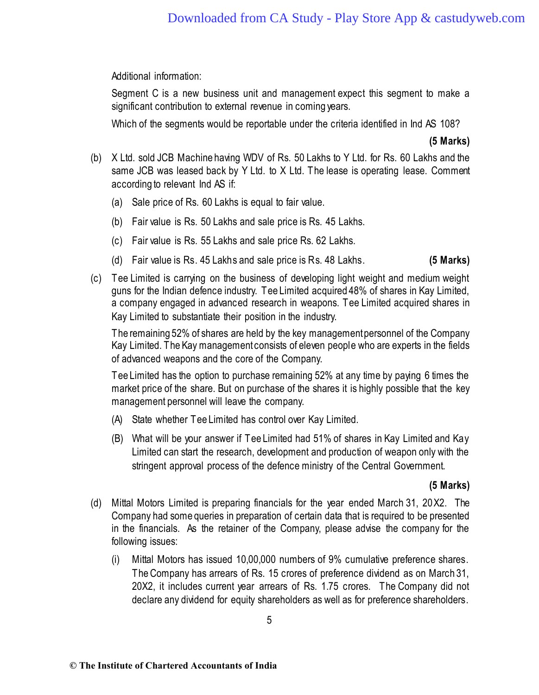Additional information:

Segment C is a new business unit and management expect this segment to make a significant contribution to external revenue in coming years.

Which of the segments would be reportable under the criteria identified in Ind AS 108?

**(5 Marks)**

- (b) X Ltd. sold JCB Machine having WDV of Rs. 50 Lakhs to Y Ltd. for Rs. 60 Lakhs and the same JCB was leased back by Y Ltd. to X Ltd. The lease is operating lease. Comment according to relevant Ind AS if:
	- (a) Sale price of Rs. 60 Lakhs is equal to fair value.
	- (b) Fair value is Rs. 50 Lakhs and sale price is Rs. 45 Lakhs.
	- (c) Fair value is Rs. 55 Lakhs and sale price Rs. 62 Lakhs.
	- (d) Fair value is Rs. 45 Lakhs and sale price is Rs. 48 Lakhs. **(5 Marks)**
- (c) Tee Limited is carrying on the business of developing light weight and medium weight guns for the Indian defence industry. Tee Limited acquired 48% of shares in Kay Limited, a company engaged in advanced research in weapons. Tee Limited acquired shares in Kay Limited to substantiate their position in the industry.

The remaining 52% of shares are held by the key management personnel of the Company Kay Limited. The Kay management consists of eleven people who are experts in the fields of advanced weapons and the core of the Company.

Tee Limited has the option to purchase remaining 52% at any time by paying 6 times the market price of the share. But on purchase of the shares it is highly possible that the key management personnel will leave the company.

- (A) State whether Tee Limited has control over Kay Limited.
- (B) What will be your answer if Tee Limited had 51% of shares in Kay Limited and Kay Limited can start the research, development and production of weapon only with the stringent approval process of the defence ministry of the Central Government.

#### **(5 Marks)**

- (d) Mittal Motors Limited is preparing financials for the year ended March 31, 20X2. The Company had some queries in preparation of certain data that is required to be presented in the financials. As the retainer of the Company, please advise the company for the following issues:
	- (i) Mittal Motors has issued 10,00,000 numbers of 9% cumulative preference shares. The Company has arrears of Rs. 15 crores of preference dividend as on March 31, 20X2, it includes current year arrears of Rs. 1.75 crores. The Company did not declare any dividend for equity shareholders as well as for preference shareholders.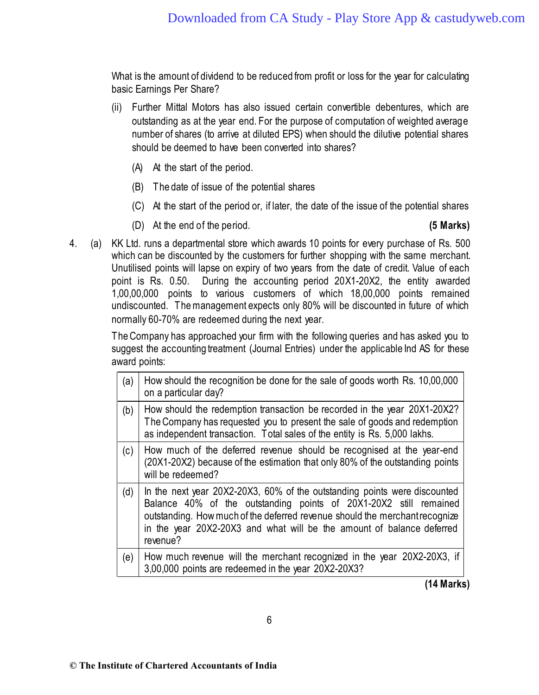What is the amount of dividend to be reduced from profit or loss for the year for calculating basic Earnings Per Share?

- (ii) Further Mittal Motors has also issued certain convertible debentures, which are outstanding as at the year end. For the purpose of computation of weighted average number of shares (to arrive at diluted EPS) when should the dilutive potential shares should be deemed to have been converted into shares?
	- (A) At the start of the period.
	- (B) The date of issue of the potential shares
	- (C) At the start of the period or, if later, the date of the issue of the potential shares
	- (D) At the end of the period. **(5 Marks)**

4. (a) KK Ltd. runs a departmental store which awards 10 points for every purchase of Rs. 500 which can be discounted by the customers for further shopping with the same merchant. Unutilised points will lapse on expiry of two years from the date of credit. Value of each point is Rs. 0.50. During the accounting period 20X1-20X2, the entity awarded 1,00,00,000 points to various customers of which 18,00,000 points remained undiscounted. The management expects only 80% will be discounted in future of which normally 60-70% are redeemed during the next year.

> The Company has approached your firm with the following queries and has asked you to suggest the accounting treatment (Journal Entries) under the applicable Ind AS for these award points:

| (a) | How should the recognition be done for the sale of goods worth Rs. 10,00,000<br>on a particular day?                                                                                                                                                                                                               |
|-----|--------------------------------------------------------------------------------------------------------------------------------------------------------------------------------------------------------------------------------------------------------------------------------------------------------------------|
| (b) | How should the redemption transaction be recorded in the year 20X1-20X2?<br>The Company has requested you to present the sale of goods and redemption<br>as independent transaction. Total sales of the entity is Rs. 5,000 lakhs.                                                                                 |
| (c) | How much of the deferred revenue should be recognised at the year-end<br>(20X1-20X2) because of the estimation that only 80% of the outstanding points<br>will be redeemed?                                                                                                                                        |
| (d) | In the next year 20X2-20X3, 60% of the outstanding points were discounted<br>Balance 40% of the outstanding points of 20X1-20X2 still remained<br>outstanding. How much of the deferred revenue should the merchant recognize<br>in the year 20X2-20X3 and what will be the amount of balance deferred<br>revenue? |
| (e) | How much revenue will the merchant recognized in the year 20X2-20X3, if<br>3,00,000 points are redeemed in the year 20X2-20X3?                                                                                                                                                                                     |

**(14 Marks)**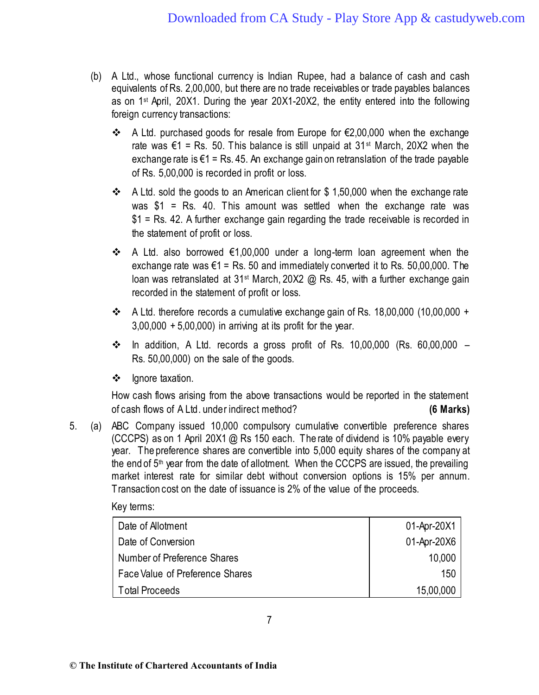- (b) A Ltd., whose functional currency is Indian Rupee, had a balance of cash and cash equivalents of Rs. 2,00,000, but there are no trade receivables or trade payables balances as on 1<sup>st</sup> April, 20X1. During the year 20X1-20X2, the entity entered into the following foreign currency transactions:
	- ❖ A Ltd. purchased goods for resale from Europe for €2,00,000 when the exchange rate was  $\epsilon$ 1 = Rs. 50. This balance is still unpaid at 31<sup>st</sup> March, 20X2 when the exchange rate is  $\epsilon$ 1 = Rs. 45. An exchange gain on retranslation of the trade payable of Rs. 5,00,000 is recorded in profit or loss.
	- ❖ A Ltd. sold the goods to an American client for \$ 1,50,000 when the exchange rate was  $$1$  = Rs. 40. This amount was settled when the exchange rate was \$1 = Rs. 42. A further exchange gain regarding the trade receivable is recorded in the statement of profit or loss.
	- ❖ A Ltd. also borrowed €1,00,000 under a long-term loan agreement when the exchange rate was  $\epsilon$ 1 = Rs. 50 and immediately converted it to Rs. 50,00,000. The loan was retranslated at 31<sup>st</sup> March, 20X2 @ Rs. 45, with a further exchange gain recorded in the statement of profit or loss.
	- ❖ A Ltd. therefore records a cumulative exchange gain of Rs. 18,00,000 (10,00,000 +  $3,00,000 + 5,00,000$  in arriving at its profit for the year.
	- ❖ In addition, A Ltd. records a gross profit of Rs. 10,00,000 (Rs. 60,00,000 Rs. 50,00,000) on the sale of the goods.
	- ❖ Ignore taxation.

How cash flows arising from the above transactions would be reported in the statement of cash flows of A Ltd. under indirect method? **(6 Marks)**

5. (a) ABC Company issued 10,000 compulsory cumulative convertible preference shares (CCCPS) as on 1 April 20X1 @ Rs 150 each. The rate of dividend is 10% payable every year. The preference shares are convertible into 5,000 equity shares of the company at the end of 5<sup>th</sup> year from the date of allotment. When the CCCPS are issued, the prevailing market interest rate for similar debt without conversion options is 15% per annum. Transaction cost on the date of issuance is 2% of the value of the proceeds.

Key terms:

| Date of Allotment               | 01-Apr-20X1 |
|---------------------------------|-------------|
| Date of Conversion              | 01-Apr-20X6 |
| Number of Preference Shares     | 10,000      |
| Face Value of Preference Shares | 150         |
| <b>Total Proceeds</b>           | 15,00,000   |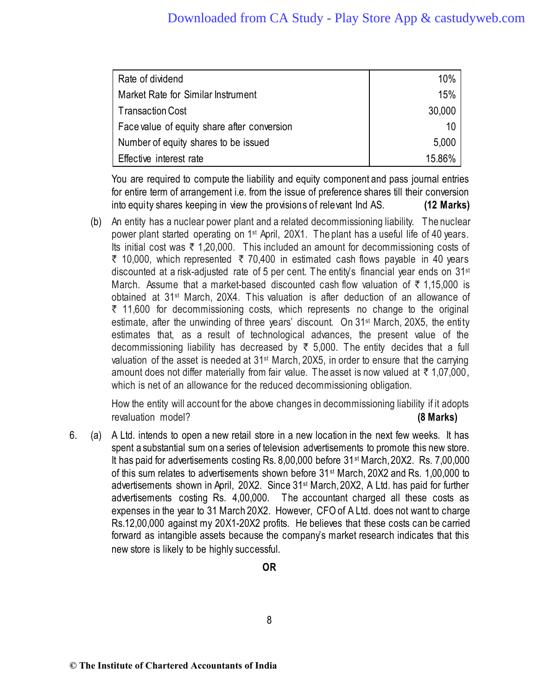| Rate of dividend                            | 10%    |
|---------------------------------------------|--------|
| Market Rate for Similar Instrument          | 15%    |
| Transaction Cost                            | 30,000 |
| Face value of equity share after conversion | 10     |
| Number of equity shares to be issued        | 5,000  |
| Effective interest rate                     | 1586%  |

You are required to compute the liability and equity component and pass journal entries for entire term of arrangement i.e. from the issue of preference shares till their conversion into equity shares keeping in view the provisions of relevant Ind AS. **(12 Marks)**

(b) An entity has a nuclear power plant and a related decommissioning liability. The nuclear power plant started operating on 1<sup>st</sup> April, 20X1. The plant has a useful life of 40 years. Its initial cost was  $\bar{\tau}$  1,20,000. This included an amount for decommissioning costs of  $\bar{\tau}$  10,000, which represented  $\bar{\tau}$  70,400 in estimated cash flows payable in 40 years discounted at a risk-adjusted rate of 5 per cent. The entity's financial year ends on  $31<sup>st</sup>$ March. Assume that a market-based discounted cash flow valuation of  $\bar{\tau}$  1,15,000 is obtained at 31st March, 20X4. This valuation is after deduction of an allowance of  $\bar{\tau}$  11,600 for decommissioning costs, which represents no change to the original estimate, after the unwinding of three years' discount. On 31st March, 20X5, the entity estimates that, as a result of technological advances, the present value of the decommissioning liability has decreased by  $\bar{\tau}$  5,000. The entity decides that a full valuation of the asset is needed at  $31^{st}$  March, 20X5, in order to ensure that the carrying amount does not differ materially from fair value. The asset is now valued at  $\bar{\tau}$  1,07,000, which is net of an allowance for the reduced decommissioning obligation.

How the entity will account for the above changes in decommissioning liability if it adopts revaluation model? **(8 Marks)**

6. (a) A Ltd. intends to open a new retail store in a new location in the next few weeks. It has spent a substantial sum on a series of television advertisements to promote this new store. It has paid for advertisements costing Rs. 8,00,000 before 31<sup>st</sup> March, 20X2. Rs. 7,00,000 of this sum relates to advertisements shown before 31st March, 20X2 and Rs. 1,00,000 to advertisements shown in April, 20X2. Since 31st March, 20X2, A Ltd. has paid for further advertisements costing Rs. 4,00,000. The accountant charged all these costs as expenses in the year to 31 March 20X2. However, CFO of A Ltd. does not want to charge Rs.12,00,000 against my 20X1-20X2 profits. He believes that these costs can be carried forward as intangible assets because the company's market research indicates that this new store is likely to be highly successful.

8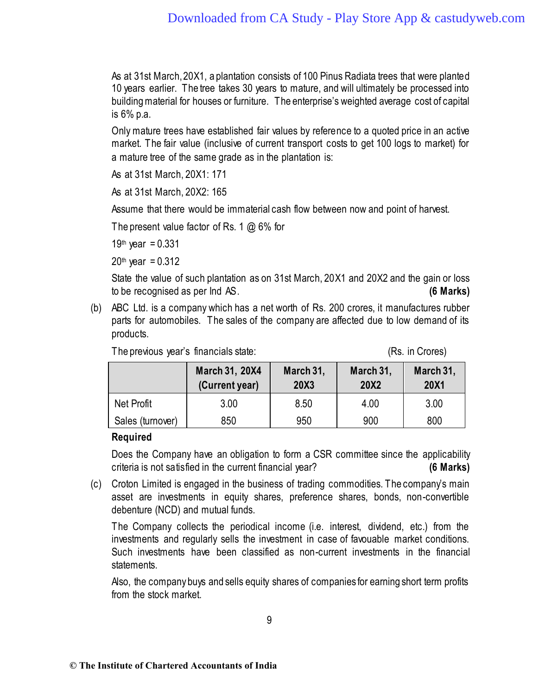As at 31st March, 20X1, a plantation consists of 100 Pinus Radiata trees that were planted 10 years earlier. The tree takes 30 years to mature, and will ultimately be processed into building material for houses or furniture. The enterprise's weighted average cost of capital is 6% p.a.

Only mature trees have established fair values by reference to a quoted price in an active market. The fair value (inclusive of current transport costs to get 100 logs to market) for a mature tree of the same grade as in the plantation is:

As at 31st March, 20X1: 171

As at 31st March, 20X2: 165

Assume that there would be immaterial cash flow between now and point of harvest.

The present value factor of Rs. 1 @ 6% for

19th year =  $0.331$ 

 $20<sup>th</sup>$  year = 0.312

State the value of such plantation as on 31st March, 20X1 and 20X2 and the gain or loss to be recognised as per Ind AS. **(6 Marks)**

(b) ABC Ltd. is a company which has a net worth of Rs. 200 crores, it manufactures rubber parts for automobiles. The sales of the company are affected due to low demand of its products.

| The previous year's financials state: |  | (Rs. in Crores) |
|---------------------------------------|--|-----------------|
|                                       |  |                 |

|                  | March 31, 20X4<br>(Current year) | March 31,<br>20X3 | March 31,<br>20X2 | March 31,<br><b>20X1</b> |
|------------------|----------------------------------|-------------------|-------------------|--------------------------|
| Net Profit       | 3.00                             | 8.50              | 4.00              | 3.00                     |
| Sales (turnover) | 850                              | 950               | 900               | 800                      |

# **Required**

Does the Company have an obligation to form a CSR committee since the applicability criteria is not satisfied in the current financial year? **(6 Marks)**

(c) Croton Limited is engaged in the business of trading commodities. The company's main asset are investments in equity shares, preference shares, bonds, non-convertible debenture (NCD) and mutual funds.

The Company collects the periodical income (i.e. interest, dividend, etc.) from the investments and regularly sells the investment in case of favouable market conditions. Such investments have been classified as non-current investments in the financial statements.

Also, the company buys and sells equity shares of companies for earning short term profits from the stock market.